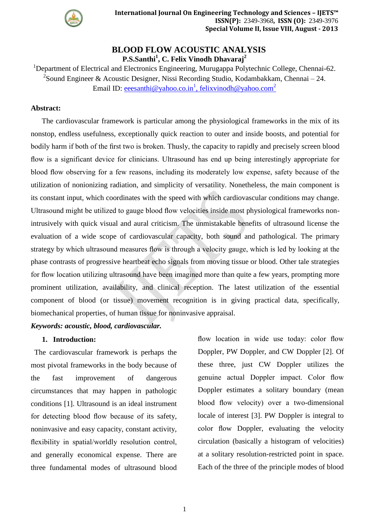

# **BLOOD FLOW ACOUSTIC ANALYSIS P.S.Santhi<sup>1</sup> , C. Felix Vinodh Dhavaraj<sup>2</sup>**

<sup>1</sup>Department of Electrical and Electronics Engineering, Murugappa Polytechnic College, Chennai-62. <sup>2</sup>Sound Engineer & Acoustic Designer, Nissi Recording Studio, Kodambakkam, Chennai – 24. Email ID: <u>eeesanthi@yahoo.co.in<sup>1</sup>[, felixvinodh@yahoo.com](mailto:eeesanthi@yahoo.co.in1,%20felixvinodh@yahoo.com2)<sup>2</sup></u>

### **Abstract:**

The cardiovascular framework is particular among the physiological frameworks in the mix of its nonstop, endless usefulness, exceptionally quick reaction to outer and inside boosts, and potential for bodily harm if both of the first two is broken. Thusly, the capacity to rapidly and precisely screen blood flow is a significant device for clinicians. Ultrasound has end up being interestingly appropriate for blood flow observing for a few reasons, including its moderately low expense, safety because of the utilization of nonionizing radiation, and simplicity of versatility. Nonetheless, the main component is its constant input, which coordinates with the speed with which cardiovascular conditions may change. Ultrasound might be utilized to gauge blood flow velocities inside most physiological frameworks nonintrusively with quick visual and aural criticism. The unmistakable benefits of ultrasound license the evaluation of a wide scope of cardiovascular capacity, both sound and pathological. The primary strategy by which ultrasound measures flow is through a velocity gauge, which is led by looking at the phase contrasts of progressive heartbeat echo signals from moving tissue or blood. Other tale strategies for flow location utilizing ultrasound have been imagined more than quite a few years, prompting more prominent utilization, availability, and clinical reception. The latest utilization of the essential component of blood (or tissue) movement recognition is in giving practical data, specifically, biomechanical properties, of human tissue for noninvasive appraisal.

# *Keywords: acoustic, blood, cardiovascular.*

#### **1. Introduction:**

The cardiovascular framework is perhaps the most pivotal frameworks in the body because of the fast improvement of dangerous circumstances that may happen in pathologic conditions [1]. Ultrasound is an ideal instrument for detecting blood flow because of its safety, noninvasive and easy capacity, constant activity, flexibility in spatial/worldly resolution control, and generally economical expense. There are three fundamental modes of ultrasound blood

flow location in wide use today: color flow Doppler, PW Doppler, and CW Doppler [2]. Of these three, just CW Doppler utilizes the genuine actual Doppler impact. Color flow Doppler estimates a solitary boundary (mean blood flow velocity) over a two-dimensional locale of interest [3]. PW Doppler is integral to color flow Doppler, evaluating the velocity circulation (basically a histogram of velocities) at a solitary resolution-restricted point in space. Each of the three of the principle modes of blood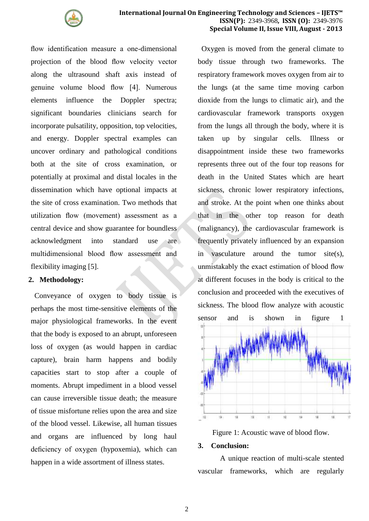

flow identification measure a one-dimensional projection of the blood flow velocity vector along the ultrasound shaft axis instead of genuine volume blood flow [4]. Numerous elements influence the Doppler spectra; significant boundaries clinicians search for incorporate pulsatility, opposition, top velocities, and energy. Doppler spectral examples can uncover ordinary and pathological conditions both at the site of cross examination, or potentially at proximal and distal locales in the dissemination which have optional impacts at the site of cross examination. Two methods that utilization flow (movement) assessment as a central device and show guarantee for boundless acknowledgment into standard use are multidimensional blood flow assessment and flexibility imaging [5].

#### **2. Methodology:**

Conveyance of oxygen to body tissue is perhaps the most time-sensitive elements of the major physiological frameworks. In the event that the body is exposed to an abrupt, unforeseen loss of oxygen (as would happen in cardiac capture), brain harm happens and bodily capacities start to stop after a couple of moments. Abrupt impediment in a blood vessel can cause irreversible tissue death; the measure of tissue misfortune relies upon the area and size of the blood vessel. Likewise, all human tissues and organs are influenced by long haul deficiency of oxygen (hypoxemia), which can happen in a wide assortment of illness states.

Oxygen is moved from the general climate to body tissue through two frameworks. The respiratory framework moves oxygen from air to the lungs (at the same time moving carbon dioxide from the lungs to climatic air), and the cardiovascular framework transports oxygen from the lungs all through the body, where it is taken up by singular cells. Illness or disappointment inside these two frameworks represents three out of the four top reasons for death in the United States which are heart sickness, chronic lower respiratory infections, and stroke. At the point when one thinks about that in the other top reason for death (malignancy), the cardiovascular framework is frequently privately influenced by an expansion in vasculature around the tumor site(s), unmistakably the exact estimation of blood flow at different focuses in the body is critical to the conclusion and proceeded with the executives of sickness. The blood flow analyze with acoustic sensor and is shown in figure 1



Figure 1: Acoustic wave of blood flow.

#### **3. Conclusion:**

A unique reaction of multi-scale stented vascular frameworks, which are regularly